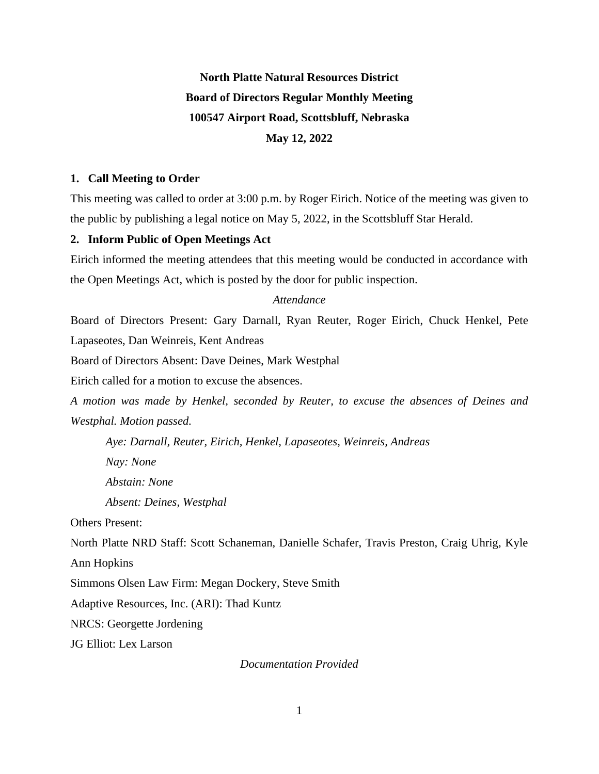# **North Platte Natural Resources District Board of Directors Regular Monthly Meeting 100547 Airport Road, Scottsbluff, Nebraska May 12, 2022**

## **1. Call Meeting to Order**

This meeting was called to order at 3:00 p.m. by Roger Eirich. Notice of the meeting was given to the public by publishing a legal notice on May 5, 2022, in the Scottsbluff Star Herald.

# **2. Inform Public of Open Meetings Act**

Eirich informed the meeting attendees that this meeting would be conducted in accordance with the Open Meetings Act, which is posted by the door for public inspection.

### *Attendance*

Board of Directors Present: Gary Darnall, Ryan Reuter, Roger Eirich, Chuck Henkel, Pete Lapaseotes, Dan Weinreis, Kent Andreas

Board of Directors Absent: Dave Deines, Mark Westphal

Eirich called for a motion to excuse the absences.

*A motion was made by Henkel, seconded by Reuter, to excuse the absences of Deines and Westphal. Motion passed.*

*Aye: Darnall, Reuter, Eirich, Henkel, Lapaseotes, Weinreis, Andreas Nay: None Abstain: None Absent: Deines, Westphal*

Others Present:

North Platte NRD Staff: Scott Schaneman, Danielle Schafer, Travis Preston, Craig Uhrig, Kyle Ann Hopkins

Simmons Olsen Law Firm: Megan Dockery, Steve Smith

Adaptive Resources, Inc. (ARI): Thad Kuntz

NRCS: Georgette Jordening

JG Elliot: Lex Larson

*Documentation Provided*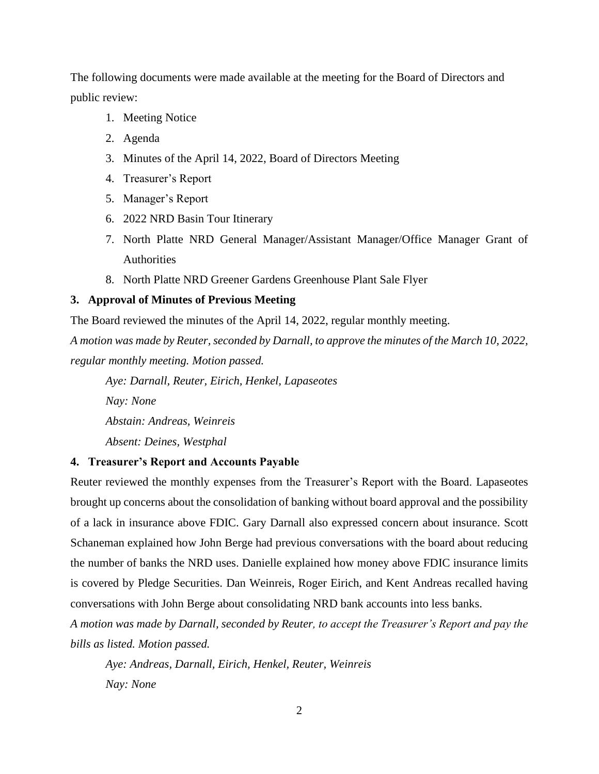The following documents were made available at the meeting for the Board of Directors and public review:

- 1. Meeting Notice
- 2. Agenda
- 3. Minutes of the April 14, 2022, Board of Directors Meeting
- 4. Treasurer's Report
- 5. Manager's Report
- 6. 2022 NRD Basin Tour Itinerary
- 7. North Platte NRD General Manager/Assistant Manager/Office Manager Grant of **Authorities**
- 8. North Platte NRD Greener Gardens Greenhouse Plant Sale Flyer

#### **3. Approval of Minutes of Previous Meeting**

The Board reviewed the minutes of the April 14, 2022, regular monthly meeting. *A motion was made by Reuter, seconded by Darnall, to approve the minutes of the March 10, 2022, regular monthly meeting. Motion passed.*

*Aye: Darnall, Reuter, Eirich, Henkel, Lapaseotes Nay: None*

*Abstain: Andreas, Weinreis*

*Absent: Deines, Westphal*

# **4. Treasurer's Report and Accounts Payable**

Reuter reviewed the monthly expenses from the Treasurer's Report with the Board. Lapaseotes brought up concerns about the consolidation of banking without board approval and the possibility of a lack in insurance above FDIC. Gary Darnall also expressed concern about insurance. Scott Schaneman explained how John Berge had previous conversations with the board about reducing the number of banks the NRD uses. Danielle explained how money above FDIC insurance limits is covered by Pledge Securities. Dan Weinreis, Roger Eirich, and Kent Andreas recalled having conversations with John Berge about consolidating NRD bank accounts into less banks.

*A motion was made by Darnall, seconded by Reuter, to accept the Treasurer's Report and pay the bills as listed. Motion passed.* 

*Aye: Andreas, Darnall, Eirich, Henkel, Reuter, Weinreis Nay: None*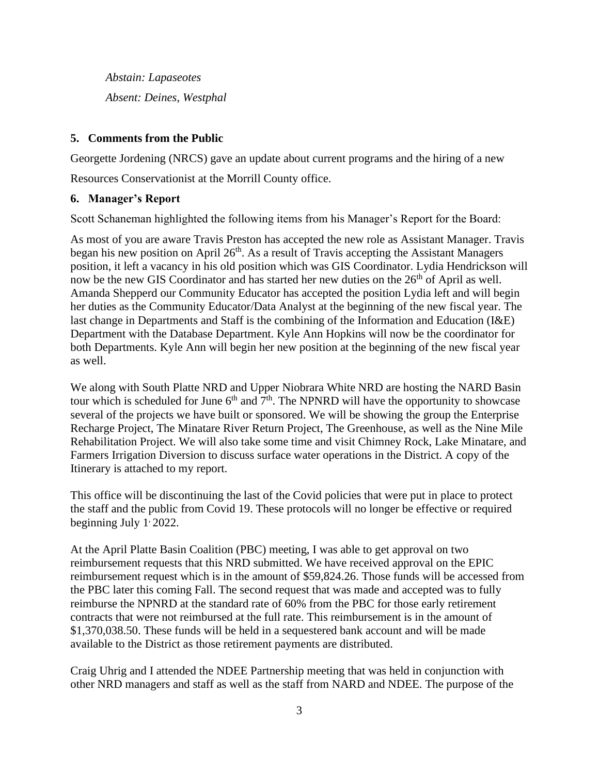*Abstain: Lapaseotes Absent: Deines, Westphal*

# **5. Comments from the Public**

Georgette Jordening (NRCS) gave an update about current programs and the hiring of a new

Resources Conservationist at the Morrill County office.

# **6. Manager's Report**

Scott Schaneman highlighted the following items from his Manager's Report for the Board:

As most of you are aware Travis Preston has accepted the new role as Assistant Manager. Travis began his new position on April 26<sup>th</sup>. As a result of Travis accepting the Assistant Managers position, it left a vacancy in his old position which was GIS Coordinator. Lydia Hendrickson will now be the new GIS Coordinator and has started her new duties on the 26<sup>th</sup> of April as well. Amanda Shepperd our Community Educator has accepted the position Lydia left and will begin her duties as the Community Educator/Data Analyst at the beginning of the new fiscal year. The last change in Departments and Staff is the combining of the Information and Education (I&E) Department with the Database Department. Kyle Ann Hopkins will now be the coordinator for both Departments. Kyle Ann will begin her new position at the beginning of the new fiscal year as well.

We along with South Platte NRD and Upper Niobrara White NRD are hosting the NARD Basin tour which is scheduled for June  $6<sup>th</sup>$  and  $7<sup>th</sup>$ . The NPNRD will have the opportunity to showcase several of the projects we have built or sponsored. We will be showing the group the Enterprise Recharge Project, The Minatare River Return Project, The Greenhouse, as well as the Nine Mile Rehabilitation Project. We will also take some time and visit Chimney Rock, Lake Minatare, and Farmers Irrigation Diversion to discuss surface water operations in the District. A copy of the Itinerary is attached to my report.

This office will be discontinuing the last of the Covid policies that were put in place to protect the staff and the public from Covid 19. These protocols will no longer be effective or required beginning July 1, 2022.

At the April Platte Basin Coalition (PBC) meeting, I was able to get approval on two reimbursement requests that this NRD submitted. We have received approval on the EPIC reimbursement request which is in the amount of \$59,824.26. Those funds will be accessed from the PBC later this coming Fall. The second request that was made and accepted was to fully reimburse the NPNRD at the standard rate of 60% from the PBC for those early retirement contracts that were not reimbursed at the full rate. This reimbursement is in the amount of \$1,370,038.50. These funds will be held in a sequestered bank account and will be made available to the District as those retirement payments are distributed.

Craig Uhrig and I attended the NDEE Partnership meeting that was held in conjunction with other NRD managers and staff as well as the staff from NARD and NDEE. The purpose of the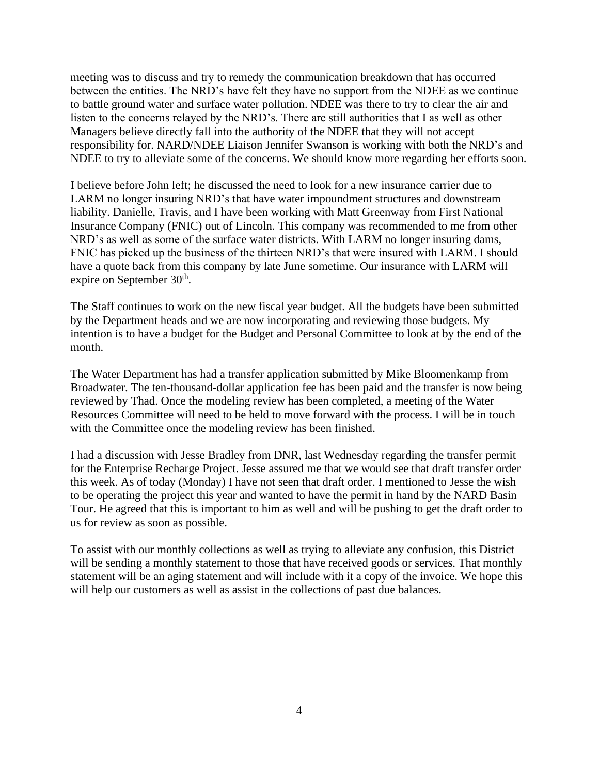meeting was to discuss and try to remedy the communication breakdown that has occurred between the entities. The NRD's have felt they have no support from the NDEE as we continue to battle ground water and surface water pollution. NDEE was there to try to clear the air and listen to the concerns relayed by the NRD's. There are still authorities that I as well as other Managers believe directly fall into the authority of the NDEE that they will not accept responsibility for. NARD/NDEE Liaison Jennifer Swanson is working with both the NRD's and NDEE to try to alleviate some of the concerns. We should know more regarding her efforts soon.

I believe before John left; he discussed the need to look for a new insurance carrier due to LARM no longer insuring NRD's that have water impoundment structures and downstream liability. Danielle, Travis, and I have been working with Matt Greenway from First National Insurance Company (FNIC) out of Lincoln. This company was recommended to me from other NRD's as well as some of the surface water districts. With LARM no longer insuring dams, FNIC has picked up the business of the thirteen NRD's that were insured with LARM. I should have a quote back from this company by late June sometime. Our insurance with LARM will expire on September 30<sup>th</sup>.

The Staff continues to work on the new fiscal year budget. All the budgets have been submitted by the Department heads and we are now incorporating and reviewing those budgets. My intention is to have a budget for the Budget and Personal Committee to look at by the end of the month.

The Water Department has had a transfer application submitted by Mike Bloomenkamp from Broadwater. The ten-thousand-dollar application fee has been paid and the transfer is now being reviewed by Thad. Once the modeling review has been completed, a meeting of the Water Resources Committee will need to be held to move forward with the process. I will be in touch with the Committee once the modeling review has been finished.

I had a discussion with Jesse Bradley from DNR, last Wednesday regarding the transfer permit for the Enterprise Recharge Project. Jesse assured me that we would see that draft transfer order this week. As of today (Monday) I have not seen that draft order. I mentioned to Jesse the wish to be operating the project this year and wanted to have the permit in hand by the NARD Basin Tour. He agreed that this is important to him as well and will be pushing to get the draft order to us for review as soon as possible.

To assist with our monthly collections as well as trying to alleviate any confusion, this District will be sending a monthly statement to those that have received goods or services. That monthly statement will be an aging statement and will include with it a copy of the invoice. We hope this will help our customers as well as assist in the collections of past due balances.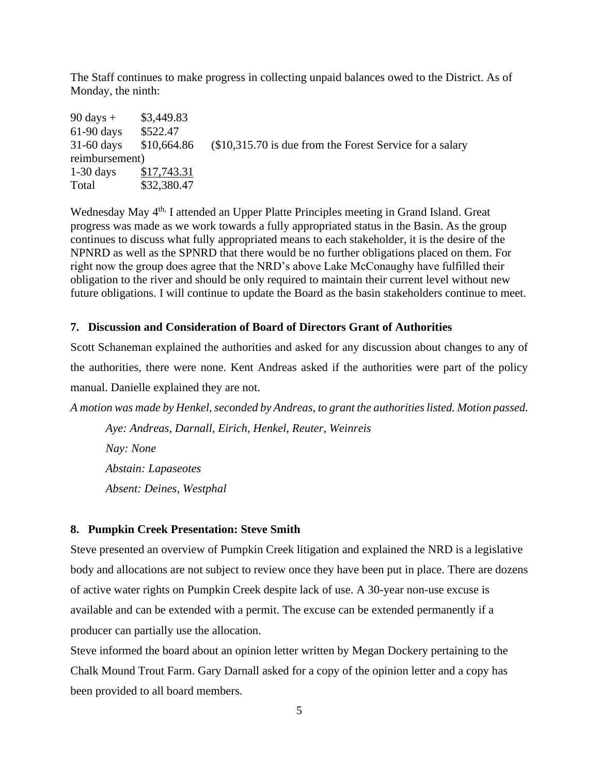The Staff continues to make progress in collecting unpaid balances owed to the District. As of Monday, the ninth:

| $90 \text{ days} +$ | \$3,449.83  |                                                          |
|---------------------|-------------|----------------------------------------------------------|
| $61-90$ days        | \$522.47    |                                                          |
| $31-60$ days        | \$10,664.86 | $$10,315.70$ is due from the Forest Service for a salary |
| reimbursement)      |             |                                                          |
| $1-30$ days         | \$17,743.31 |                                                          |
| Total               | \$32,380.47 |                                                          |

Wednesday May 4<sup>th,</sup> I attended an Upper Platte Principles meeting in Grand Island. Great progress was made as we work towards a fully appropriated status in the Basin. As the group continues to discuss what fully appropriated means to each stakeholder, it is the desire of the NPNRD as well as the SPNRD that there would be no further obligations placed on them. For right now the group does agree that the NRD's above Lake McConaughy have fulfilled their obligation to the river and should be only required to maintain their current level without new future obligations. I will continue to update the Board as the basin stakeholders continue to meet.

#### **7. Discussion and Consideration of Board of Directors Grant of Authorities**

Scott Schaneman explained the authorities and asked for any discussion about changes to any of the authorities, there were none. Kent Andreas asked if the authorities were part of the policy manual. Danielle explained they are not.

*A motion was made by Henkel, seconded by Andreas, to grant the authorities listed. Motion passed.*

*Aye: Andreas, Darnall, Eirich, Henkel, Reuter, Weinreis Nay: None Abstain: Lapaseotes Absent: Deines, Westphal*

## **8. Pumpkin Creek Presentation: Steve Smith**

Steve presented an overview of Pumpkin Creek litigation and explained the NRD is a legislative body and allocations are not subject to review once they have been put in place. There are dozens of active water rights on Pumpkin Creek despite lack of use. A 30-year non-use excuse is available and can be extended with a permit. The excuse can be extended permanently if a producer can partially use the allocation.

Steve informed the board about an opinion letter written by Megan Dockery pertaining to the Chalk Mound Trout Farm. Gary Darnall asked for a copy of the opinion letter and a copy has been provided to all board members.